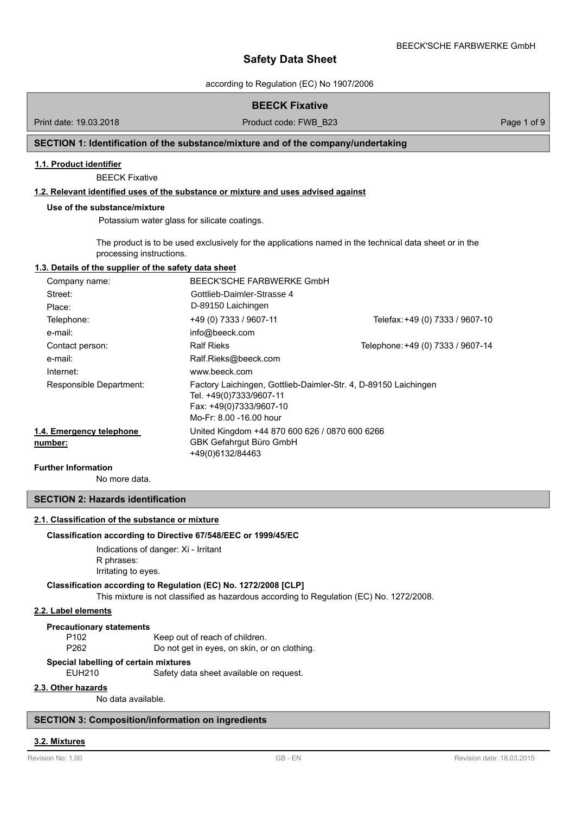according to Regulation (EC) No 1907/2006

# **BEECK Fixative**

Print date: 19.03.2018 **Product code: FWB\_B23** Page 1 of 9

# **SECTION 1: Identification of the substance/mixture and of the company/undertaking**

#### **1.1. Product identifier**

BEECK Fixative

# **1.2. Relevant identified uses of the substance or mixture and uses advised against**

#### **Use of the substance/mixture**

Potassium water glass for silicate coatings.

The product is to be used exclusively for the applications named in the technical data sheet or in the processing instructions.

# **1.3. Details of the supplier of the safety data sheet**

| Company name:                       | BEECK'SCHE FARBWERKE GmbH                                                                                                                        |                                   |
|-------------------------------------|--------------------------------------------------------------------------------------------------------------------------------------------------|-----------------------------------|
| Street:                             | Gottlieb-Daimler-Strasse 4                                                                                                                       |                                   |
| Place:                              | D-89150 Laichingen                                                                                                                               |                                   |
| Telephone:                          | +49 (0) 7333 / 9607-11                                                                                                                           | Telefax: +49 (0) 7333 / 9607-10   |
| e-mail:                             | info@beeck.com                                                                                                                                   |                                   |
| Contact person:                     | <b>Ralf Rieks</b>                                                                                                                                | Telephone: +49 (0) 7333 / 9607-14 |
| e-mail:                             | Ralf.Rieks@beeck.com                                                                                                                             |                                   |
| Internet:                           | www.beeck.com                                                                                                                                    |                                   |
| Responsible Department:             | Factory Laichingen, Gottlieb-Daimler-Str. 4, D-89150 Laichingen<br>Tel. +49(0)7333/9607-11<br>Fax: +49(0)7333/9607-10<br>Mo-Fr: 8.00 -16.00 hour |                                   |
| 1.4. Emergency telephone<br>number: | United Kingdom +44 870 600 626 / 0870 600 6266<br><b>GBK Gefahrqut Büro GmbH</b><br>+49(0)6132/84463                                             |                                   |

# **Further Information**

No more data.

# **SECTION 2: Hazards identification**

# **2.1. Classification of the substance or mixture**

#### **Classification according to Directive 67/548/EEC or 1999/45/EC**

Indications of danger: Xi - Irritant R phrases: Irritating to eyes.

#### **Classification according to Regulation (EC) No. 1272/2008 [CLP]**

This mixture is not classified as hazardous according to Regulation (EC) No. 1272/2008.

#### **2.2. Label elements**

**Precautionary statements**

P102 Keep out of reach of children. P262 Do not get in eyes, on skin, or on clothing.

#### **Special labelling of certain mixtures**

EUH210 Safety data sheet available on request.

## **2.3. Other hazards**

No data available.

# **SECTION 3: Composition/information on ingredients**

#### **3.2. Mixtures**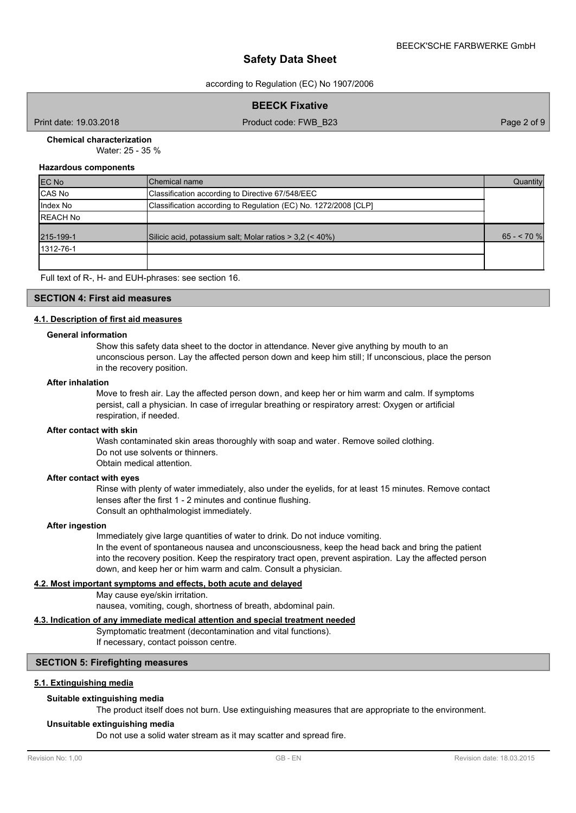according to Regulation (EC) No 1907/2006

**BEECK Fixative**

Print date: 19.03.2018 Product code: FWB\_B23 Page 2 of 9

# **Chemical characterization**

Water: 25 - 35 %

#### **Hazardous components**

| <b>EC No</b>    | Chemical name                                                   | Quantity    |
|-----------------|-----------------------------------------------------------------|-------------|
| CAS No          | Classification according to Directive 67/548/EEC                |             |
| Index No        | Classification according to Regulation (EC) No. 1272/2008 [CLP] |             |
| <b>REACH No</b> |                                                                 |             |
| 215-199-1       | Silicic acid, potassium salt; Molar ratios > 3,2 (< 40%)        | $65 - 70$ % |
| 1312-76-1       |                                                                 |             |
|                 |                                                                 |             |

Full text of R-, H- and EUH-phrases: see section 16.

## **SECTION 4: First aid measures**

# **4.1. Description of first aid measures**

#### **General information**

Show this safety data sheet to the doctor in attendance. Never give anything by mouth to an unconscious person. Lay the affected person down and keep him still; If unconscious, place the person in the recovery position.

#### **After inhalation**

Move to fresh air. Lay the affected person down, and keep her or him warm and calm. If symptoms persist, call a physician. In case of irregular breathing or respiratory arrest: Oxygen or artificial respiration, if needed.

#### **After contact with skin**

Wash contaminated skin areas thoroughly with soap and water. Remove soiled clothing. Do not use solvents or thinners. Obtain medical attention.

# **After contact with eyes**

Rinse with plenty of water immediately, also under the eyelids, for at least 15 minutes. Remove contact lenses after the first 1 - 2 minutes and continue flushing. Consult an ophthalmologist immediately.

#### **After ingestion**

Immediately give large quantities of water to drink. Do not induce vomiting.

In the event of spontaneous nausea and unconsciousness, keep the head back and bring the patient into the recovery position. Keep the respiratory tract open, prevent aspiration. Lay the affected person down, and keep her or him warm and calm. Consult a physician.

#### **4.2. Most important symptoms and effects, both acute and delayed**

May cause eye/skin irritation. nausea, vomiting, cough, shortness of breath, abdominal pain.

# **4.3. Indication of any immediate medical attention and special treatment needed**

Symptomatic treatment (decontamination and vital functions).

If necessary, contact poisson centre.

# **SECTION 5: Firefighting measures**

# **5.1. Extinguishing media**

# **Suitable extinguishing media**

The product itself does not burn. Use extinguishing measures that are appropriate to the environment.

## **Unsuitable extinguishing media**

Do not use a solid water stream as it may scatter and spread fire.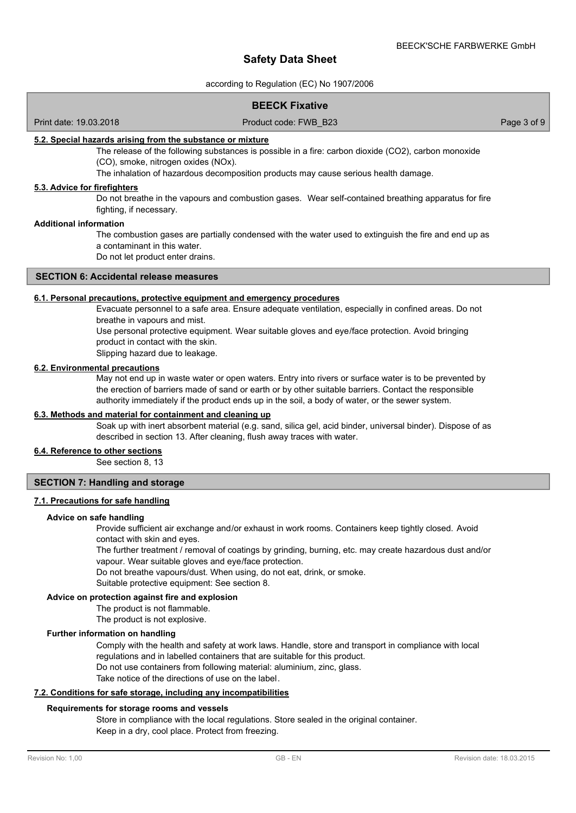according to Regulation (EC) No 1907/2006

# **BEECK Fixative**

## Print date: 19.03.2018 Product code: FWB\_B23 Page 3 of 9

#### **5.2. Special hazards arising from the substance or mixture**

The release of the following substances is possible in a fire: carbon dioxide (CO2), carbon monoxide (CO), smoke, nitrogen oxides (NOx).

The inhalation of hazardous decomposition products may cause serious health damage.

#### **5.3. Advice for firefighters**

Do not breathe in the vapours and combustion gases. Wear self-contained breathing apparatus for fire fighting, if necessary.

#### **Additional information**

The combustion gases are partially condensed with the water used to extinguish the fire and end up as a contaminant in this water.

Do not let product enter drains.

#### **SECTION 6: Accidental release measures**

#### **6.1. Personal precautions, protective equipment and emergency procedures**

Evacuate personnel to a safe area. Ensure adequate ventilation, especially in confined areas. Do not breathe in vapours and mist.

Use personal protective equipment. Wear suitable gloves and eye/face protection. Avoid bringing product in contact with the skin.

Slipping hazard due to leakage.

#### **6.2. Environmental precautions**

May not end up in waste water or open waters. Entry into rivers or surface water is to be prevented by the erection of barriers made of sand or earth or by other suitable barriers. Contact the responsible authority immediately if the product ends up in the soil, a body of water, or the sewer system.

#### **6.3. Methods and material for containment and cleaning up**

Soak up with inert absorbent material (e.g. sand, silica gel, acid binder, universal binder). Dispose of as described in section 13. After cleaning, flush away traces with water.

#### **6.4. Reference to other sections**

See section 8, 13

## **SECTION 7: Handling and storage**

#### **7.1. Precautions for safe handling**

#### **Advice on safe handling**

Provide sufficient air exchange and/or exhaust in work rooms. Containers keep tightly closed. Avoid contact with skin and eyes.

The further treatment / removal of coatings by grinding, burning, etc. may create hazardous dust and/or vapour. Wear suitable gloves and eye/face protection.

Do not breathe vapours/dust. When using, do not eat, drink, or smoke.

Suitable protective equipment: See section 8.

# **Advice on protection against fire and explosion**

The product is not flammable.

The product is not explosive.

# **Further information on handling**

Comply with the health and safety at work laws. Handle, store and transport in compliance with local regulations and in labelled containers that are suitable for this product.

Do not use containers from following material: aluminium, zinc, glass.

Take notice of the directions of use on the label.

# **7.2. Conditions for safe storage, including any incompatibilities**

#### **Requirements for storage rooms and vessels**

Store in compliance with the local regulations. Store sealed in the original container. Keep in a dry, cool place. Protect from freezing.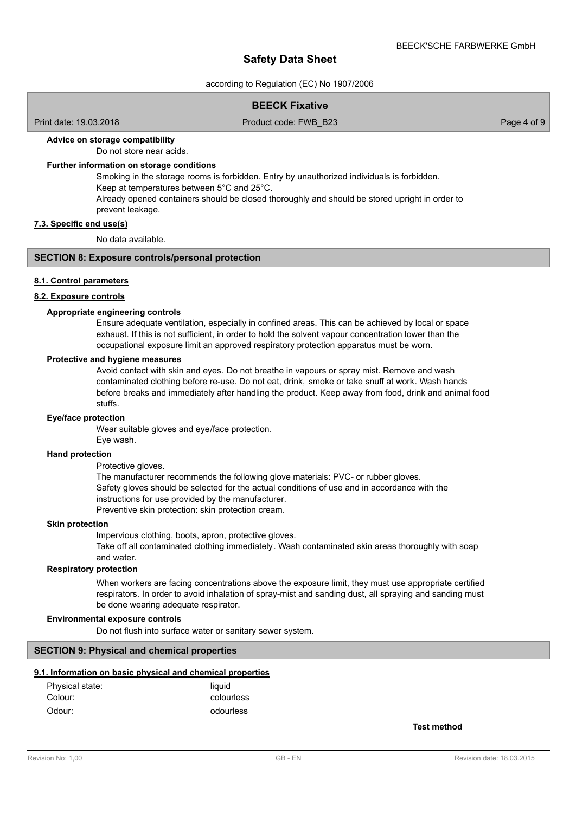according to Regulation (EC) No 1907/2006

# **BEECK Fixative**

Print date: 19.03.2018 Product code: FWB\_B23 Page 4 of 9

#### **Advice on storage compatibility**

Do not store near acids.

## **Further information on storage conditions**

Smoking in the storage rooms is forbidden. Entry by unauthorized individuals is forbidden. Keep at temperatures between 5°C and 25°C. Already opened containers should be closed thoroughly and should be stored upright in order to

prevent leakage. **7.3. Specific end use(s)**

No data available.

# **SECTION 8: Exposure controls/personal protection**

#### **8.1. Control parameters**

# **8.2. Exposure controls**

## **Appropriate engineering controls**

Ensure adequate ventilation, especially in confined areas. This can be achieved by local or space exhaust. If this is not sufficient, in order to hold the solvent vapour concentration lower than the occupational exposure limit an approved respiratory protection apparatus must be worn.

#### **Protective and hygiene measures**

Avoid contact with skin and eyes. Do not breathe in vapours or spray mist. Remove and wash contaminated clothing before re-use. Do not eat, drink, smoke or take snuff at work. Wash hands before breaks and immediately after handling the product. Keep away from food, drink and animal food stuffs.

#### **Eye/face protection**

Wear suitable gloves and eye/face protection.

#### Eye wash.

#### **Hand protection**

Protective gloves.

The manufacturer recommends the following glove materials: PVC- or rubber gloves. Safety gloves should be selected for the actual conditions of use and in accordance with the instructions for use provided by the manufacturer. Preventive skin protection: skin protection cream.

## **Skin protection**

Impervious clothing, boots, apron, protective gloves.

Take off all contaminated clothing immediately. Wash contaminated skin areas thoroughly with soap and water.

#### **Respiratory protection**

When workers are facing concentrations above the exposure limit, they must use appropriate certified respirators. In order to avoid inhalation of spray-mist and sanding dust, all spraying and sanding must be done wearing adequate respirator.

## **Environmental exposure controls**

Do not flush into surface water or sanitary sewer system.

#### **SECTION 9: Physical and chemical properties**

# **9.1. Information on basic physical and chemical properties**

| Physical state: | liauid     |
|-----------------|------------|
| Colour:         | colourless |
| Odour:          | odourless  |

**Test method**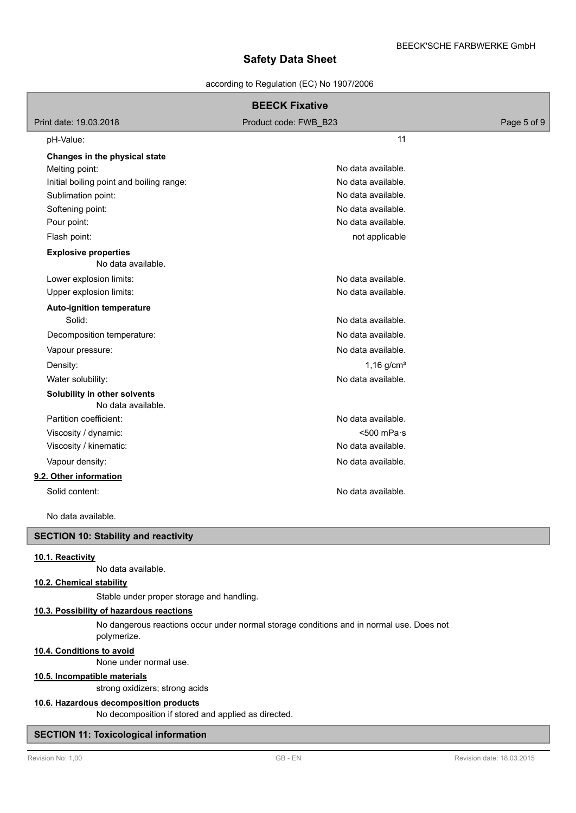## according to Regulation (EC) No 1907/2006

|                                                   | <b>BEECK Fixative</b>    |             |
|---------------------------------------------------|--------------------------|-------------|
| Print date: 19.03.2018                            | Product code: FWB_B23    | Page 5 of 9 |
| pH-Value:                                         | 11                       |             |
| Changes in the physical state                     |                          |             |
| Melting point:                                    | No data available.       |             |
| Initial boiling point and boiling range:          | No data available.       |             |
| Sublimation point:                                | No data available.       |             |
| Softening point:                                  | No data available.       |             |
| Pour point:                                       | No data available.       |             |
| Flash point:                                      | not applicable           |             |
| <b>Explosive properties</b><br>No data available. |                          |             |
| Lower explosion limits:                           | No data available.       |             |
| Upper explosion limits:                           | No data available.       |             |
| Auto-ignition temperature                         |                          |             |
| Solid:                                            | No data available.       |             |
| Decomposition temperature:                        | No data available.       |             |
| Vapour pressure:                                  | No data available.       |             |
| Density:                                          | $1,16$ g/cm <sup>3</sup> |             |
| Water solubility:                                 | No data available.       |             |
| Solubility in other solvents                      |                          |             |
| No data available.                                |                          |             |
| Partition coefficient:                            | No data available.       |             |
| Viscosity / dynamic:                              | $< 500$ mPa $\cdot$ s    |             |
| Viscosity / kinematic:                            | No data available.       |             |
| Vapour density:                                   | No data available.       |             |
| 9.2. Other information                            |                          |             |
| Solid content:                                    | No data available.       |             |
| No data available.                                |                          |             |
| <b>SECTION 10: Stability and reactivity</b>       |                          |             |
| 10.1. Reactivity                                  |                          |             |
| No data available.                                |                          |             |

#### **10.2. Chemical stability**

Stable under proper storage and handling.

# **10.3. Possibility of hazardous reactions**

No dangerous reactions occur under normal storage conditions and in normal use. Does not polymerize.

# **10.4. Conditions to avoid**

None under normal use.

# **10.5. Incompatible materials**

strong oxidizers; strong acids

# **10.6. Hazardous decomposition products**

No decomposition if stored and applied as directed.

# **SECTION 11: Toxicological information**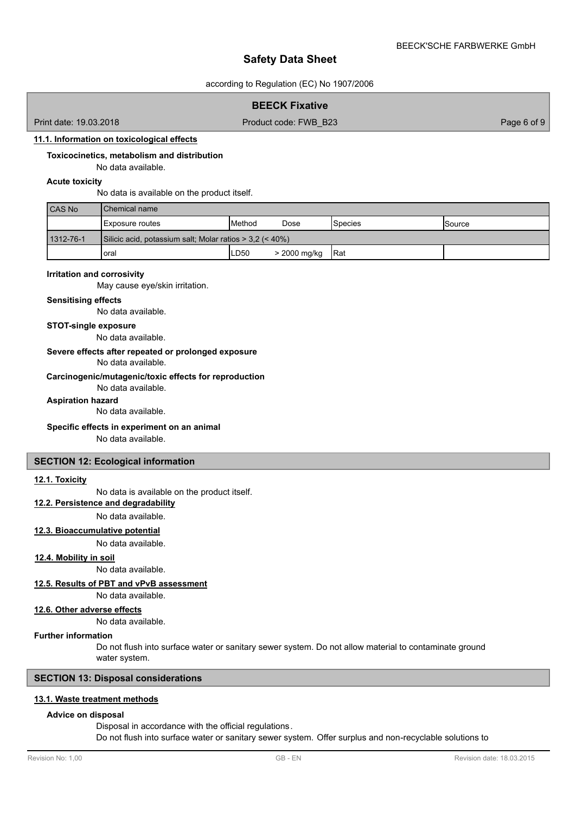according to Regulation (EC) No 1907/2006

## **BEECK Fixative**

Print date: 19.03.2018 **Product code: FWB\_B23** Page 6 of 9

# **11.1. Information on toxicological effects**

## **Toxicocinetics, metabolism and distribution**

No data available.

# **Acute toxicity**

No data is available on the product itself.

| <b>CAS No</b> | <b>I</b> Chemical name                                     |        |              |                 |                 |
|---------------|------------------------------------------------------------|--------|--------------|-----------------|-----------------|
|               | <b>IExposure routes</b>                                    | Method | Dose         | <b>S</b> pecies | <b>I</b> Source |
| 1312-76-1     | Silicic acid, potassium salt; Molar ratios $>$ 3.2 (< 40%) |        |              |                 |                 |
|               | loral                                                      | LD50   | > 2000 mg/kg | <b>IRat</b>     |                 |

#### **Irritation and corrosivity**

May cause eye/skin irritation.

#### **Sensitising effects**

No data available.

#### **STOT-single exposure**

No data available.

## **Severe effects after repeated or prolonged exposure**

No data available.

#### **Carcinogenic/mutagenic/toxic effects for reproduction**

No data available.

**Aspiration hazard**

No data available.

## **Specific effects in experiment on an animal**

No data available.

### **SECTION 12: Ecological information**

#### **12.1. Toxicity**

No data is available on the product itself.

**12.2. Persistence and degradability**

No data available.

# **12.3. Bioaccumulative potential**

No data available.

# **12.4. Mobility in soil**

No data available.

**12.5. Results of PBT and vPvB assessment**

No data available.

# **12.6. Other adverse effects**

No data available.

#### **Further information**

Do not flush into surface water or sanitary sewer system. Do not allow material to contaminate ground water system.

# **SECTION 13: Disposal considerations**

#### **13.1. Waste treatment methods**

# **Advice on disposal**

Disposal in accordance with the official regulations. Do not flush into surface water or sanitary sewer system. Offer surplus and non-recyclable solutions to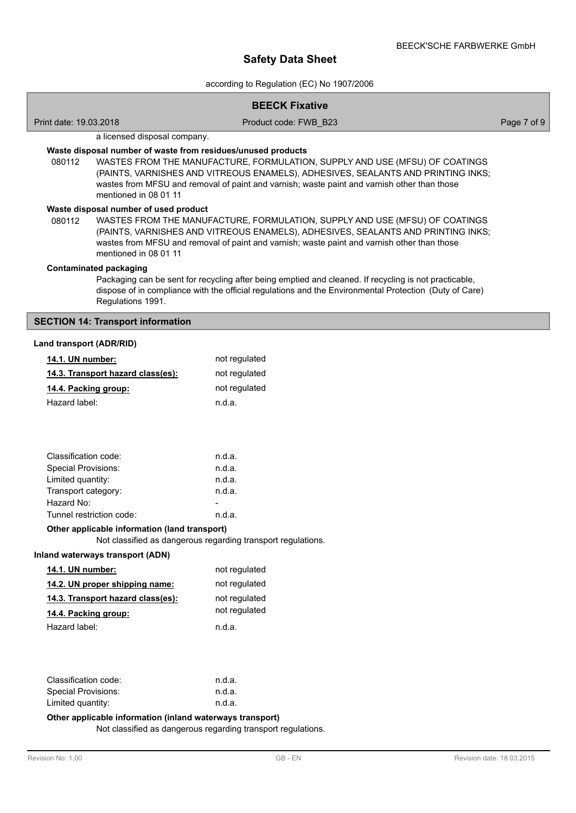according to Regulation (EC) No 1907/2006

|                                   |                                                                                                                                                                                                                                                                                                                                                         | <b>BEECK Fixative</b>                                                                                                                                                                                                                                          |             |  |
|-----------------------------------|---------------------------------------------------------------------------------------------------------------------------------------------------------------------------------------------------------------------------------------------------------------------------------------------------------------------------------------------------------|----------------------------------------------------------------------------------------------------------------------------------------------------------------------------------------------------------------------------------------------------------------|-------------|--|
| Print date: 19.03.2018            |                                                                                                                                                                                                                                                                                                                                                         | Product code: FWB B23                                                                                                                                                                                                                                          | Page 7 of 9 |  |
|                                   | a licensed disposal company.                                                                                                                                                                                                                                                                                                                            |                                                                                                                                                                                                                                                                |             |  |
| 080112                            | Waste disposal number of waste from residues/unused products<br>WASTES FROM THE MANUFACTURE, FORMULATION, SUPPLY AND USE (MFSU) OF COATINGS<br>(PAINTS, VARNISHES AND VITREOUS ENAMELS), ADHESIVES, SEALANTS AND PRINTING INKS;<br>wastes from MFSU and removal of paint and varnish; waste paint and varnish other than those<br>mentioned in 08 01 11 |                                                                                                                                                                                                                                                                |             |  |
| 080112                            | Waste disposal number of used product<br>mentioned in 08 01 11                                                                                                                                                                                                                                                                                          | WASTES FROM THE MANUFACTURE, FORMULATION, SUPPLY AND USE (MFSU) OF COATINGS<br>(PAINTS, VARNISHES AND VITREOUS ENAMELS), ADHESIVES, SEALANTS AND PRINTING INKS;<br>wastes from MFSU and removal of paint and varnish; waste paint and varnish other than those |             |  |
|                                   | <b>Contaminated packaging</b><br>Regulations 1991.                                                                                                                                                                                                                                                                                                      | Packaging can be sent for recycling after being emptied and cleaned. If recycling is not practicable,<br>dispose of in compliance with the official regulations and the Environmental Protection (Duty of Care)                                                |             |  |
|                                   | <b>SECTION 14: Transport information</b>                                                                                                                                                                                                                                                                                                                |                                                                                                                                                                                                                                                                |             |  |
| Land transport (ADR/RID)          |                                                                                                                                                                                                                                                                                                                                                         |                                                                                                                                                                                                                                                                |             |  |
|                                   |                                                                                                                                                                                                                                                                                                                                                         |                                                                                                                                                                                                                                                                |             |  |
| 14.1. UN number:                  |                                                                                                                                                                                                                                                                                                                                                         | not regulated                                                                                                                                                                                                                                                  |             |  |
|                                   | 14.3. Transport hazard class(es):                                                                                                                                                                                                                                                                                                                       | not regulated                                                                                                                                                                                                                                                  |             |  |
| 14.4. Packing group:              |                                                                                                                                                                                                                                                                                                                                                         | not regulated                                                                                                                                                                                                                                                  |             |  |
| Hazard label:                     |                                                                                                                                                                                                                                                                                                                                                         | n.d.a.                                                                                                                                                                                                                                                         |             |  |
|                                   |                                                                                                                                                                                                                                                                                                                                                         |                                                                                                                                                                                                                                                                |             |  |
| Classification code:              |                                                                                                                                                                                                                                                                                                                                                         | n.d.a.                                                                                                                                                                                                                                                         |             |  |
| <b>Special Provisions:</b>        |                                                                                                                                                                                                                                                                                                                                                         | n.d.a.                                                                                                                                                                                                                                                         |             |  |
| Limited quantity:                 |                                                                                                                                                                                                                                                                                                                                                         | n.d.a.                                                                                                                                                                                                                                                         |             |  |
| Transport category:<br>Hazard No: |                                                                                                                                                                                                                                                                                                                                                         | n.d.a.                                                                                                                                                                                                                                                         |             |  |
|                                   | Tunnel restriction code:                                                                                                                                                                                                                                                                                                                                | n.d.a.                                                                                                                                                                                                                                                         |             |  |
|                                   | Other applicable information (land transport)                                                                                                                                                                                                                                                                                                           |                                                                                                                                                                                                                                                                |             |  |
|                                   |                                                                                                                                                                                                                                                                                                                                                         | Not classified as dangerous regarding transport regulations.                                                                                                                                                                                                   |             |  |
|                                   | Inland waterways transport (ADN)                                                                                                                                                                                                                                                                                                                        |                                                                                                                                                                                                                                                                |             |  |
| 14.1. UN number:                  |                                                                                                                                                                                                                                                                                                                                                         | not regulated                                                                                                                                                                                                                                                  |             |  |
|                                   | 14.2. UN proper shipping name:                                                                                                                                                                                                                                                                                                                          | not regulated                                                                                                                                                                                                                                                  |             |  |
|                                   | 14.3. Transport hazard class(es):                                                                                                                                                                                                                                                                                                                       | not regulated                                                                                                                                                                                                                                                  |             |  |
| 14.4. Packing group:              |                                                                                                                                                                                                                                                                                                                                                         | not regulated                                                                                                                                                                                                                                                  |             |  |
| Hazard label:                     |                                                                                                                                                                                                                                                                                                                                                         | n.d.a.                                                                                                                                                                                                                                                         |             |  |
|                                   |                                                                                                                                                                                                                                                                                                                                                         |                                                                                                                                                                                                                                                                |             |  |
| Classification code:              |                                                                                                                                                                                                                                                                                                                                                         | n.d.a.                                                                                                                                                                                                                                                         |             |  |
| <b>Special Provisions:</b>        |                                                                                                                                                                                                                                                                                                                                                         | n.d.a.                                                                                                                                                                                                                                                         |             |  |
| Limited quantity:                 |                                                                                                                                                                                                                                                                                                                                                         | n.d.a.                                                                                                                                                                                                                                                         |             |  |
|                                   | Other applicable information (inland waterways transport)                                                                                                                                                                                                                                                                                               |                                                                                                                                                                                                                                                                |             |  |

Not classified as dangerous regarding transport regulations.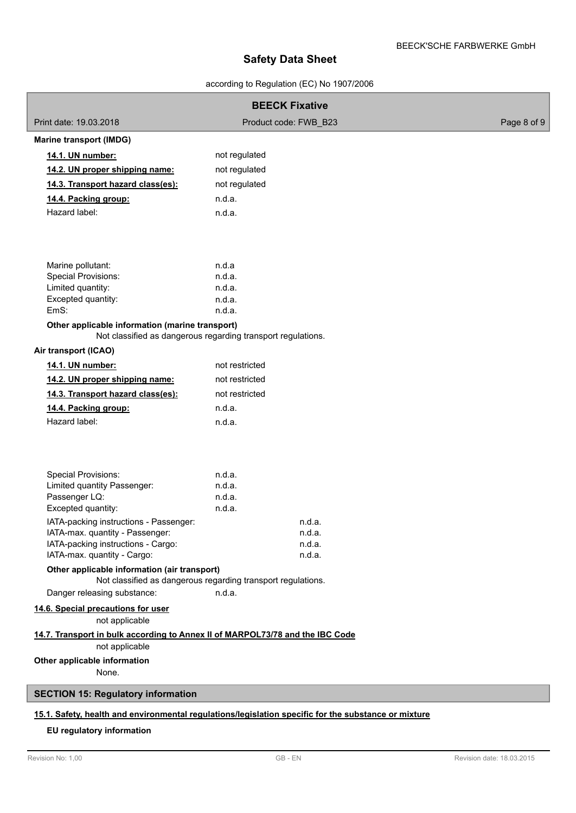according to Regulation (EC) No 1907/2006

| <b>BEECK Fixative</b>                                                                                                                                                                                                                                                                                                                                                                                                                                                                                                        |                                                                                                                                                        |             |  |  |
|------------------------------------------------------------------------------------------------------------------------------------------------------------------------------------------------------------------------------------------------------------------------------------------------------------------------------------------------------------------------------------------------------------------------------------------------------------------------------------------------------------------------------|--------------------------------------------------------------------------------------------------------------------------------------------------------|-------------|--|--|
| Print date: 19.03.2018                                                                                                                                                                                                                                                                                                                                                                                                                                                                                                       | Product code: FWB B23                                                                                                                                  | Page 8 of 9 |  |  |
| <b>Marine transport (IMDG)</b>                                                                                                                                                                                                                                                                                                                                                                                                                                                                                               |                                                                                                                                                        |             |  |  |
| 14.1. UN number:                                                                                                                                                                                                                                                                                                                                                                                                                                                                                                             | not regulated                                                                                                                                          |             |  |  |
| 14.2. UN proper shipping name:                                                                                                                                                                                                                                                                                                                                                                                                                                                                                               | not regulated                                                                                                                                          |             |  |  |
| 14.3. Transport hazard class(es):                                                                                                                                                                                                                                                                                                                                                                                                                                                                                            | not regulated                                                                                                                                          |             |  |  |
| 14.4. Packing group:                                                                                                                                                                                                                                                                                                                                                                                                                                                                                                         | n.d.a.                                                                                                                                                 |             |  |  |
| Hazard label:                                                                                                                                                                                                                                                                                                                                                                                                                                                                                                                | n.d.a.                                                                                                                                                 |             |  |  |
| Marine pollutant:                                                                                                                                                                                                                                                                                                                                                                                                                                                                                                            | n.d.a                                                                                                                                                  |             |  |  |
| Special Provisions:<br>Limited quantity:                                                                                                                                                                                                                                                                                                                                                                                                                                                                                     | n.d.a.<br>n.d.a.                                                                                                                                       |             |  |  |
| Excepted quantity:                                                                                                                                                                                                                                                                                                                                                                                                                                                                                                           | n.d.a.                                                                                                                                                 |             |  |  |
| EmS:                                                                                                                                                                                                                                                                                                                                                                                                                                                                                                                         | n.d.a.                                                                                                                                                 |             |  |  |
| Other applicable information (marine transport)                                                                                                                                                                                                                                                                                                                                                                                                                                                                              | Not classified as dangerous regarding transport regulations.                                                                                           |             |  |  |
| Air transport (ICAO)                                                                                                                                                                                                                                                                                                                                                                                                                                                                                                         |                                                                                                                                                        |             |  |  |
| 14.1. UN number:                                                                                                                                                                                                                                                                                                                                                                                                                                                                                                             | not restricted                                                                                                                                         |             |  |  |
| 14.2. UN proper shipping name:                                                                                                                                                                                                                                                                                                                                                                                                                                                                                               | not restricted                                                                                                                                         |             |  |  |
| 14.3. Transport hazard class(es):                                                                                                                                                                                                                                                                                                                                                                                                                                                                                            | not restricted                                                                                                                                         |             |  |  |
| 14.4. Packing group:                                                                                                                                                                                                                                                                                                                                                                                                                                                                                                         | n.d.a.                                                                                                                                                 |             |  |  |
| Hazard label:                                                                                                                                                                                                                                                                                                                                                                                                                                                                                                                | n.d.a.                                                                                                                                                 |             |  |  |
| <b>Special Provisions:</b><br>Limited quantity Passenger:<br>Passenger LQ:<br>Excepted quantity:<br>IATA-packing instructions - Passenger:<br>IATA-max. quantity - Passenger:<br>IATA-packing instructions - Cargo:<br>IATA-max. quantity - Cargo:<br>Other applicable information (air transport)<br>Danger releasing substance:<br>14.6. Special precautions for user<br>not applicable<br>14.7. Transport in bulk according to Annex II of MARPOL73/78 and the IBC Code<br>not applicable<br>Other applicable information | n.d.a.<br>n.d.a.<br>n.d.a.<br>n.d.a.<br>n.d.a.<br>n.d.a.<br>n.d.a.<br>n.d.a.<br>Not classified as dangerous regarding transport regulations.<br>n.d.a. |             |  |  |
| None.                                                                                                                                                                                                                                                                                                                                                                                                                                                                                                                        |                                                                                                                                                        |             |  |  |
| <b>SECTION 15: Regulatory information</b>                                                                                                                                                                                                                                                                                                                                                                                                                                                                                    |                                                                                                                                                        |             |  |  |
| 15.1. Safety, health and environmental regulations/legislation specific for the substance or mixture<br>EU regulatory information                                                                                                                                                                                                                                                                                                                                                                                            |                                                                                                                                                        |             |  |  |